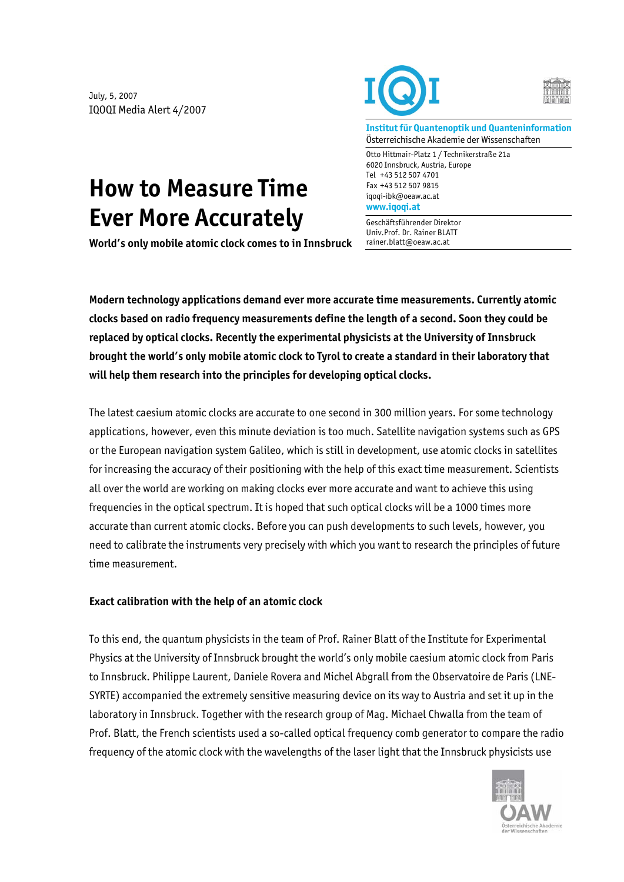July, 5, 2007 IQOQI Media Alert 4/2007





**Institut für Quantenoptik und Quanteninformation**  Österreichische Akademie der Wissenschaften

Otto Hittmair-Platz 1 / Technikerstraße 21a 6020 Innsbruck, Austria, Europe Tel +43 512 507 4701 Fax +43 512 507 9815 iqoqi-ibk@oeaw.ac.at **www.iqoqi.at** 

Geschäftsführender Direktor Univ.Prof. Dr. Rainer BLATT rainer.blatt@oeaw.ac.at

## **How to Measure Time Ever More Accurately**

**World's only mobile atomic clock comes to in Innsbruck** 

**Modern technology applications demand ever more accurate time measurements. Currently atomic clocks based on radio frequency measurements define the length of a second. Soon they could be replaced by optical clocks. Recently the experimental physicists at the University of Innsbruck brought the world's only mobile atomic clock to Tyrol to create a standard in their laboratory that will help them research into the principles for developing optical clocks.** 

The latest caesium atomic clocks are accurate to one second in 300 million years. For some technology applications, however, even this minute deviation is too much. Satellite navigation systems such as GPS or the European navigation system Galileo, which is still in development, use atomic clocks in satellites for increasing the accuracy of their positioning with the help of this exact time measurement. Scientists all over the world are working on making clocks ever more accurate and want to achieve this using frequencies in the optical spectrum. It is hoped that such optical clocks will be a 1000 times more accurate than current atomic clocks. Before you can push developments to such levels, however, you need to calibrate the instruments very precisely with which you want to research the principles of future time measurement.

## **Exact calibration with the help of an atomic clock**

To this end, the quantum physicists in the team of Prof. Rainer Blatt of the Institute for Experimental Physics at the University of Innsbruck brought the world's only mobile caesium atomic clock from Paris to Innsbruck. Philippe Laurent, Daniele Rovera and Michel Abgrall from the Observatoire de Paris (LNE-SYRTE) accompanied the extremely sensitive measuring device on its way to Austria and set it up in the laboratory in Innsbruck. Together with the research group of Mag. Michael Chwalla from the team of Prof. Blatt, the French scientists used a so-called optical frequency comb generator to compare the radio frequency of the atomic clock with the wavelengths of the laser light that the Innsbruck physicists use